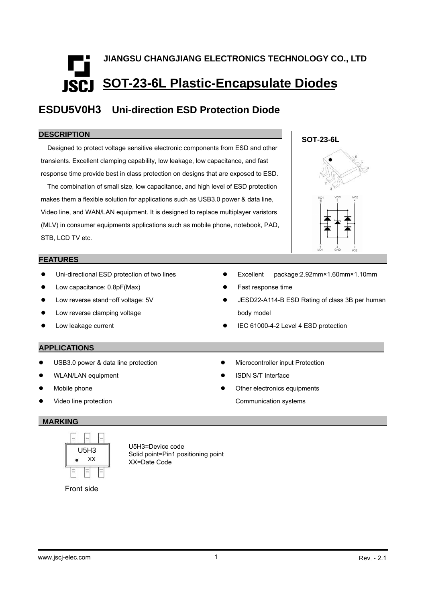# **JIANGSU CHANGJIANG ELECTRONICS TECHNOLOGY CO., LTD SOT-23-6L Plastic-Encapsulate Diodes**

### **ESDU5V0H3 Uni-direction ESD Protection Diode**

#### **DESCRIPTION**

Designed to protect voltage sensitive electronic components from ESD and other transients. Excellent clamping capability, low leakage, low capacitance, and fast response time provide best in class protection on designs that are exposed to ESD.

The combination of small size, low capacitance, and high level of ESD protection makes them a flexible solution for applications such as USB3.0 power & data line, Video line, and WAN/LAN equipment. It is designed to replace multiplayer varistors (MLV) in consumer equipments applications such as mobile phone, notebook, PAD, STB, LCD TV etc.

### **FEATURES**

- Uni-directional ESD protection of two lines
- Low capacitance: 0.8pF(Max)
- Low reverse stand−off voltage: 5V
- $\bullet$  Low reverse clamping voltage
- Low leakage current
- Excellent package:2.92mm×1.60mm×1.10mm
- Fast response time
- JESD22-A114-B ESD Rating of class 3B per human body model
- IEC 61000-4-2 Level 4 ESD protection

### **APPLICATIONS**

- USB3.0 power & data line protection
- WLAN/LAN equipment
- Mobile phone
- Video line protection
- 

#### **MARKING**



U5H3=Device code Solid point=Pin1 positioning point XX=Date Code

Front side



- ISDN S/T Interface
- Other electronics equipments

**•** Microcontroller input Protection

Communication systems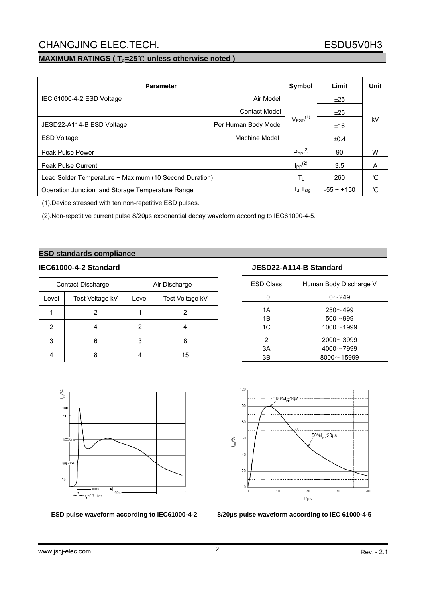### CHANGJING ELEC.TECH. ESDU5V0H3

### **MAXIMUM RATINGS (T<sub>a</sub>=25℃ unless otherwise noted)**

| <b>Parameter</b>                                       | <b>Symbol</b>        | Limit                   | Unit         |    |
|--------------------------------------------------------|----------------------|-------------------------|--------------|----|
| IEC 61000-4-2 ESD Voltage                              | Air Model            |                         | ±25          |    |
|                                                        | <b>Contact Model</b> |                         | ±25          |    |
| JESD22-A114-B ESD Voltage                              | Per Human Body Model | $V_{ESD}^{(1)}$         | ±16          | kV |
| <b>ESD Voltage</b>                                     | Machine Model        |                         | ±0.4         |    |
| Peak Pulse Power                                       |                      | $P_{PP}^{(2)}$          | 90           | W  |
| <b>Peak Pulse Current</b>                              |                      | $I_{PP}$ <sup>(2)</sup> | 3.5          | A  |
| Lead Solder Temperature - Maximum (10 Second Duration) |                      | Τı.                     | 260          | °С |
| Operation Junction and Storage Temperature Range       |                      | $T_{J}$ , $T_{stg}$     | $-55 - +150$ | °С |

(1).Device stressed with ten non-repetitive ESD pulses.

(2).Non-repetitive current pulse 8/20µs exponential decay waveform according to IEC61000-4-5.

#### **ESD standards compliance**

|       | <b>Contact Discharge</b> |       | Air Discharge   |
|-------|--------------------------|-------|-----------------|
| Level | Test Voltage kV          | Level | Test Voltage kV |
|       |                          |       |                 |
| 2     |                          | 2     |                 |
| 3     |                          | 3     |                 |
|       |                          |       | 15              |



| <b>ESD Class</b> | Human Body Discharge V                      |
|------------------|---------------------------------------------|
|                  | $0 - 249$                                   |
| 1Α<br>1Β<br>1C   | $250 - 499$<br>$500 - 999$<br>$1000 - 1999$ |
| $\mathcal{P}$    | $2000 - 3999$                               |
| 3A               | $4000 - 7999$                               |
| 3B               | $8000 - 15999$                              |





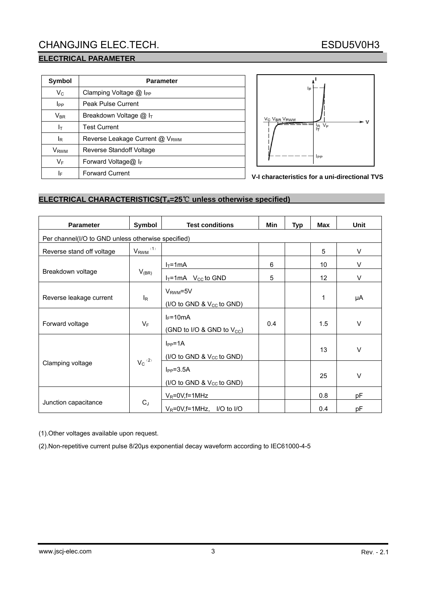## CHANGJING ELEC.TECH. ESDU5V0H3

### **ELECTRICAL PARAMETER**

| Symbol                  | <b>Parameter</b>                     |  |  |  |  |  |
|-------------------------|--------------------------------------|--|--|--|--|--|
| $V_C$                   | Clamping Voltage $@$ I <sub>PP</sub> |  |  |  |  |  |
| <b>I</b> PP             | <b>Peak Pulse Current</b>            |  |  |  |  |  |
| $V_{\sf BR}$            | Breakdown Voltage @ I <sub>T</sub>   |  |  |  |  |  |
| Iт                      | <b>Test Current</b>                  |  |  |  |  |  |
| lR                      | Reverse Leakage Current @ VRWM       |  |  |  |  |  |
| <b>V</b> <sub>RWM</sub> | Reverse Standoff Voltage             |  |  |  |  |  |
| $V_F$                   | Forward Voltage@ $I_F$               |  |  |  |  |  |
| ΙF                      | <b>Forward Current</b>               |  |  |  |  |  |



**V-I characteristics for a uni-directional TVS**

#### **ELECTRICAL CHARACTERISTICS(Ta=25**℃ **unless otherwise specified)**

| <b>Parameter</b>                                   | Symbol                   | <b>Test conditions</b>                                 | Min | <b>Typ</b> | Max | <b>Unit</b> |  |  |  |
|----------------------------------------------------|--------------------------|--------------------------------------------------------|-----|------------|-----|-------------|--|--|--|
| Per channel(I/O to GND unless otherwise specified) |                          |                                                        |     |            |     |             |  |  |  |
| Reverse stand off voltage                          | $V_{RWM}$ <sup>(1)</sup> |                                                        |     |            | 5   | V           |  |  |  |
|                                                    |                          | $I_T = 1mA$                                            | 6   |            | 10  | $\vee$      |  |  |  |
| Breakdown voltage                                  | $V_{(BR)}$               | $I_T = 1mA$ V <sub>cc</sub> to GND                     | 5   |            | 12  | V           |  |  |  |
| Reverse leakage current                            | $I_{\mathsf{R}}$         | $V_{RWM} = 5V$<br>(I/O to GND & $V_{CC}$ to GND)       |     |            | 1   | μA          |  |  |  |
| Forward voltage                                    | $V_F$                    | $I_F = 10mA$<br>(GND to I/O & GND to $V_{CC}$ )        | 0.4 |            | 1.5 | $\vee$      |  |  |  |
|                                                    |                          | $I_{PP} = 1A$<br>(I/O to GND & V <sub>CC</sub> to GND) |     |            | 13  | $\vee$      |  |  |  |
| Clamping voltage                                   | $V_c^{(2)}$              | $I_{PP} = 3.5A$<br>(I/O to GND & $V_{CC}$ to GND)      |     |            | 25  | $\vee$      |  |  |  |
|                                                    |                          | $V_R = 0V$ , f = 1 MHz                                 |     |            | 0.8 | рF          |  |  |  |
| Junction capacitance                               | $C_J$                    | $V_R = 0V$ , f = 1 MHz, I/O to I/O                     |     |            | 0.4 | pF          |  |  |  |

(1).Other voltages available upon request.

(2).Non-repetitive current pulse 8/20μs exponential decay waveform according to IEC61000-4-5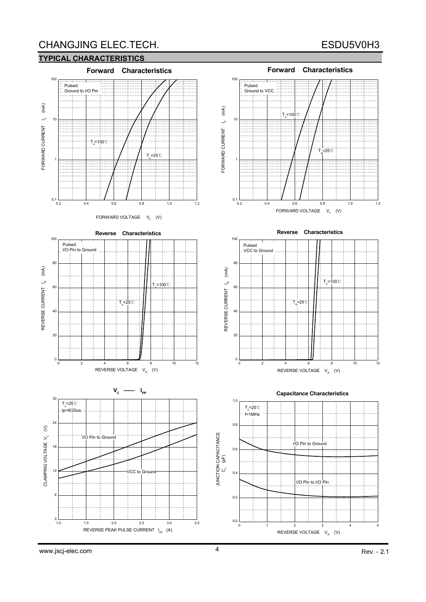## CHANGJING ELEC.TECH. ESDU5V0H3

#### **TYPICAL CHARACTERISTICS**



www.jscj-elec.com 4 Rev. - 2.1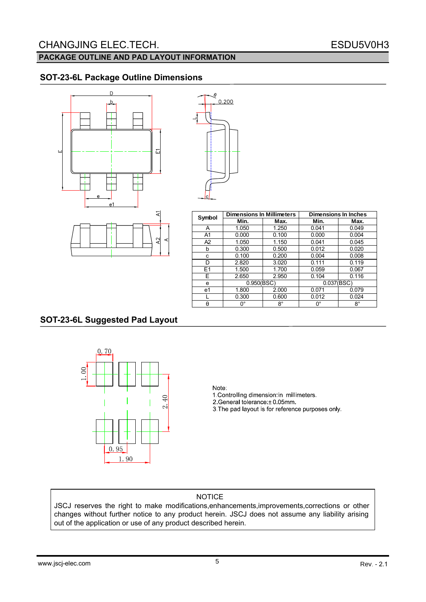### **PACKAGE OUTLINE AND PAD LAYOUT INFORMATION**

### **SOT-23-6L Package Outline Dimensions**



| g              | 0.200 |  |
|----------------|-------|--|
|                |       |  |
|                |       |  |
|                |       |  |
|                |       |  |
| $\overline{c}$ |       |  |

| Symbol         | <b>Dimensions In Millimeters</b> |             | <b>Dimensions In Inches</b> |             |  |
|----------------|----------------------------------|-------------|-----------------------------|-------------|--|
|                | Min.                             | Max.        | Min.                        | Max.        |  |
| A              | 1.050                            | 1.250       | 0.041                       | 0.049       |  |
| A <sub>1</sub> | 0.000                            | 0.100       | 0.000                       | 0.004       |  |
| A <sub>2</sub> | 1.050                            | 1.150       | 0.041                       | 0.045       |  |
| b              | 0.300                            | 0.500       | 0.012                       | 0.020       |  |
| c              | 0.100                            | 0.200       | 0.004                       | 0.008       |  |
| D              | 2.820                            | 3.020       | 0.111                       | 0.119       |  |
| E1             | 1.500                            | 1.700       | 0.059                       | 0.067       |  |
| E.             | 2.650                            | 2.950       | 0.104                       | 0.116       |  |
| e              | 0.950(BSC)                       |             | 0.037(BSC)                  |             |  |
| e1             | 1.800                            | 2.000       | 0.071                       | 0.079       |  |
|                | 0.300                            | 0.600       | 0.012                       | 0.024       |  |
| θ              | n°                               | $8^{\circ}$ | 0°                          | $8^{\circ}$ |  |

### **SOT-23-6L Suggested Pad Layout**



#### Note:

1. Controlling dimension in millimeters. 2.General tolerance: ± 0.05mm 3. The pad layout is for reference purposes only.

### NOTICE

JSCJ reserves the right to make modifications,enhancements,improvements,corrections or other changes without further notice to any product herein. JSCJ does not assume any liability arising out of the application or use of any product described herein.